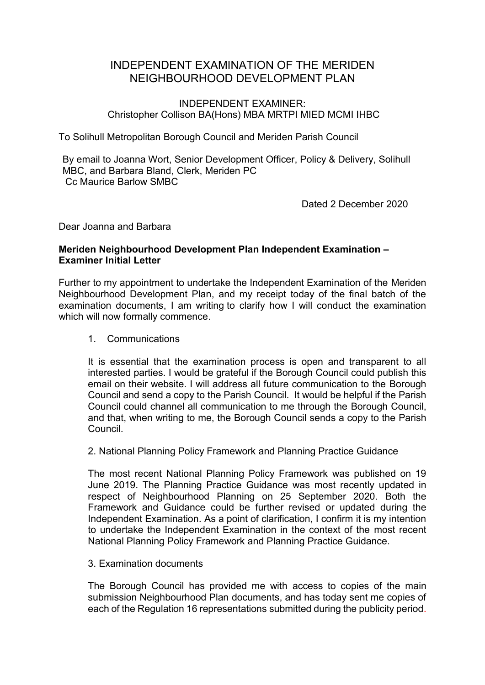# INDEPENDENT EXAMINATION OF THE MERIDEN NEIGHBOURHOOD DEVELOPMENT PLAN

## INDEPENDENT EXAMINER: Christopher Collison BA(Hons) MBA MRTPI MIED MCMI IHBC

To Solihull Metropolitan Borough Council and Meriden Parish Council

By email to Joanna Wort, Senior Development Officer, Policy & Delivery, Solihull MBC, and Barbara Bland, Clerk, Meriden PC Cc Maurice Barlow SMBC

Dated 2 December 2020

Dear Joanna and Barbara

# **Meriden Neighbourhood Development Plan Independent Examination – Examiner Initial Letter**

Further to my appointment to undertake the Independent Examination of the Meriden Neighbourhood Development Plan, and my receipt today of the final batch of the examination documents, I am writing to clarify how I will conduct the examination which will now formally commence.

1. Communications

It is essential that the examination process is open and transparent to all interested parties. I would be grateful if the Borough Council could publish this email on their website. I will address all future communication to the Borough Council and send a copy to the Parish Council. It would be helpful if the Parish Council could channel all communication to me through the Borough Council, and that, when writing to me, the Borough Council sends a copy to the Parish Council.

2. National Planning Policy Framework and Planning Practice Guidance

The most recent National Planning Policy Framework was published on 19 June 2019. The Planning Practice Guidance was most recently updated in respect of Neighbourhood Planning on 25 September 2020. Both the Framework and Guidance could be further revised or updated during the Independent Examination. As a point of clarification, I confirm it is my intention to undertake the Independent Examination in the context of the most recent National Planning Policy Framework and Planning Practice Guidance.

3. Examination documents

The Borough Council has provided me with access to copies of the main submission Neighbourhood Plan documents, and has today sent me copies of each of the Regulation 16 representations submitted during the publicity period.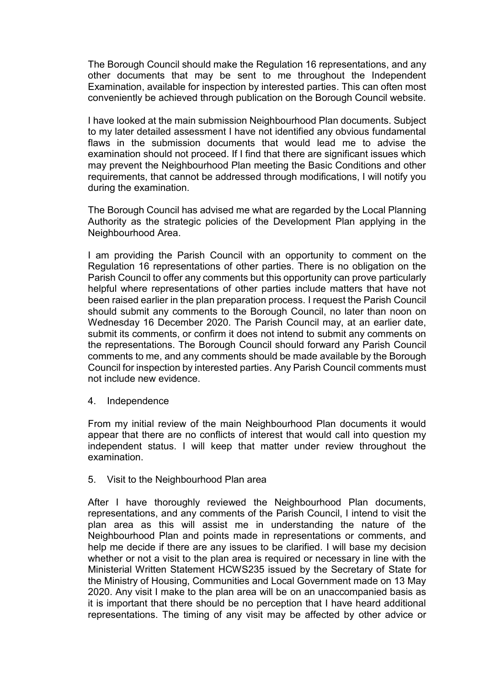The Borough Council should make the Regulation 16 representations, and any other documents that may be sent to me throughout the Independent Examination, available for inspection by interested parties. This can often most conveniently be achieved through publication on the Borough Council website.

I have looked at the main submission Neighbourhood Plan documents. Subject to my later detailed assessment I have not identified any obvious fundamental flaws in the submission documents that would lead me to advise the examination should not proceed. If I find that there are significant issues which may prevent the Neighbourhood Plan meeting the Basic Conditions and other requirements, that cannot be addressed through modifications, I will notify you during the examination.

The Borough Council has advised me what are regarded by the Local Planning Authority as the strategic policies of the Development Plan applying in the Neighbourhood Area.

I am providing the Parish Council with an opportunity to comment on the Regulation 16 representations of other parties. There is no obligation on the Parish Council to offer any comments but this opportunity can prove particularly helpful where representations of other parties include matters that have not been raised earlier in the plan preparation process. I request the Parish Council should submit any comments to the Borough Council, no later than noon on Wednesday 16 December 2020. The Parish Council may, at an earlier date, submit its comments, or confirm it does not intend to submit any comments on the representations. The Borough Council should forward any Parish Council comments to me, and any comments should be made available by the Borough Council for inspection by interested parties. Any Parish Council comments must not include new evidence.

4. Independence

From my initial review of the main Neighbourhood Plan documents it would appear that there are no conflicts of interest that would call into question my independent status. I will keep that matter under review throughout the examination.

#### 5. Visit to the Neighbourhood Plan area

After I have thoroughly reviewed the Neighbourhood Plan documents, representations, and any comments of the Parish Council, I intend to visit the plan area as this will assist me in understanding the nature of the Neighbourhood Plan and points made in representations or comments, and help me decide if there are any issues to be clarified. I will base my decision whether or not a visit to the plan area is required or necessary in line with the Ministerial Written Statement HCWS235 issued by the Secretary of State for the Ministry of Housing, Communities and Local Government made on 13 May 2020. Any visit I make to the plan area will be on an unaccompanied basis as it is important that there should be no perception that I have heard additional representations. The timing of any visit may be affected by other advice or